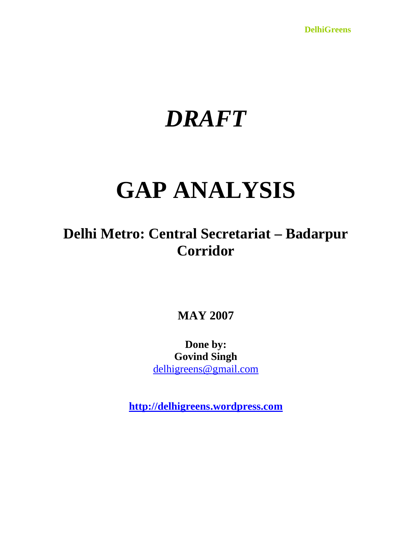**DelhiGreens**

# *DRAFT*

# **GAP ANALYSIS**

**Delhi Metro: Central Secretariat – Badarpur Corridor**

**MAY 2007**

**Done by: Govind Singh** delhigreens@gmail.com

**http://delhigreens.wordpress.com**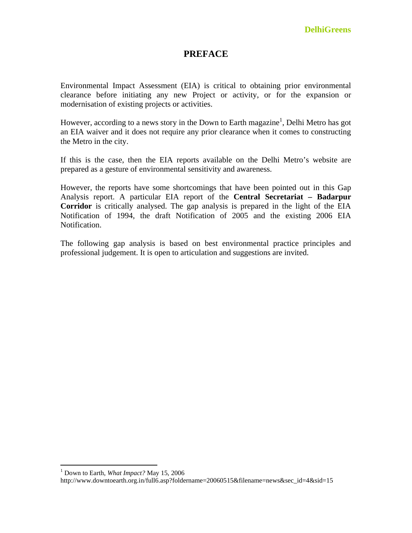# **PREFACE**

Environmental Impact Assessment (EIA) is critical to obtaining prior environmental clearance before initiating any new Project or activity, or for the expansion or modernisation of existing projects or activities.

However, according to a news story in the Down to Earth magazine<sup>1</sup>, Delhi Metro has got an EIA waiver and it does not require any prior clearance when it comes to constructing the Metro in the city.

If this is the case, then the EIA reports available on the Delhi Metro's website are prepared as a gesture of environmental sensitivity and awareness.

However, the reports have some shortcomings that have been pointed out in this Gap Analysis report. A particular EIA report of the **Central Secretariat – Badarpur Corridor** is critically analysed. The gap analysis is prepared in the light of the EIA Notification of 1994, the draft Notification of 2005 and the existing 2006 EIA Notification.

The following gap analysis is based on best environmental practice principles and professional judgement. It is open to articulation and suggestions are invited.

1

<sup>1</sup> Down to Earth, *What Impact?* May 15, 2006

http://www.downtoearth.org.in/full6.asp?foldername=20060515&filename=news&sec\_id=4&sid=15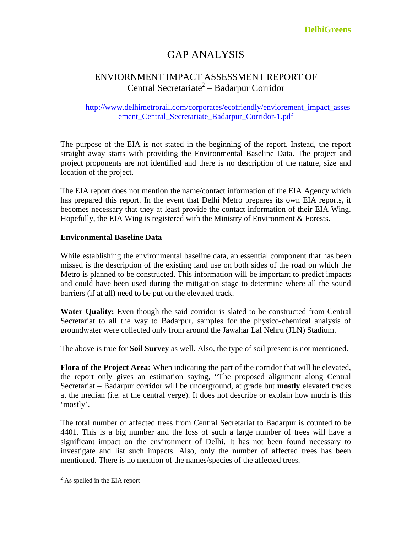**DelhiGreens**

# GAP ANALYSIS

# ENVIORNMENT IMPACT ASSESSMENT REPORT OF Central Secretariate<sup>2</sup> – Badarpur Corridor

# http://www.delhimetrorail.com/corporates/ecofriendly/enviorement\_impact\_asses ement\_Central\_Secretariate\_Badarpur\_Corridor-1.pdf

The purpose of the EIA is not stated in the beginning of the report. Instead, the report straight away starts with providing the Environmental Baseline Data. The project and project proponents are not identified and there is no description of the nature, size and location of the project.

The EIA report does not mention the name/contact information of the EIA Agency which has prepared this report. In the event that Delhi Metro prepares its own EIA reports, it becomes necessary that they at least provide the contact information of their EIA Wing. Hopefully, the EIA Wing is registered with the Ministry of Environment & Forests.

# **Environmental Baseline Data**

While establishing the environmental baseline data, an essential component that has been missed is the description of the existing land use on both sides of the road on which the Metro is planned to be constructed. This information will be important to predict impacts and could have been used during the mitigation stage to determine where all the sound barriers (if at all) need to be put on the elevated track.

Water Quality: Even though the said corridor is slated to be constructed from Central Secretariat to all the way to Badarpur, samples for the physico-chemical analysis of groundwater were collected only from around the Jawahar Lal Nehru (JLN) Stadium.

The above is true for **Soil Survey** as well. Also, the type of soil present is not mentioned.

**Flora of the Project Area:** When indicating the part of the corridor that will be elevated, the report only gives an estimation saying, "The proposed alignment along Central Secretariat – Badarpur corridor will be underground, at grade but **mostly** elevated tracks at the median (i.e. at the central verge). It does not describe or explain how much is this 'mostly'.

The total number of affected trees from Central Secretariat to Badarpur is counted to be 4401. This is a big number and the loss of such a large number of trees will have a significant impact on the environment of Delhi. It has not been found necessary to investigate and list such impacts. Also, only the number of affected trees has been mentioned. There is no mention of the names/species of the affected trees.

 $2^2$  As spelled in the EIA report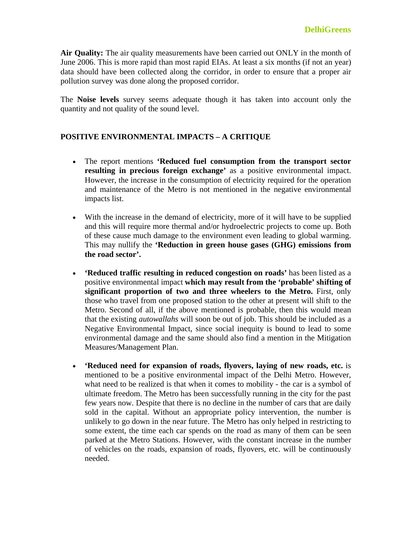**Air Quality:** The air quality measurements have been carried out ONLY in the month of June 2006. This is more rapid than most rapid EIAs. At least a six months (if not an year) data should have been collected along the corridor, in order to ensure that a proper air pollution survey was done along the proposed corridor.

The **Noise levels** survey seems adequate though it has taken into account only the quantity and not quality of the sound level.

# **POSITIVE ENVIRONMENTAL IMPACTS – A CRITIQUE**

- The report mentions **'Reduced fuel consumption from the transport sector resulting in precious foreign exchange'** as a positive environmental impact. However, the increase in the consumption of electricity required for the operation and maintenance of the Metro is not mentioned in the negative environmental impacts list.
- With the increase in the demand of electricity, more of it will have to be supplied and this will require more thermal and/or hydroelectric projects to come up. Both of these cause much damage to the environment even leading to global warming. This may nullify the **'Reduction in green house gases (GHG) emissions from the road sector'.**
- **'Reduced traffic resulting in reduced congestion on roads'** has been listed as a positive environmental impact **which may result from the 'probable' shifting of significant proportion of two and three wheelers to the Metro.** First, only those who travel from one proposed station to the other at present will shift to the Metro. Second of all, if the above mentioned is probable, then this would mean that the existing *autowallahs* will soon be out of job. This should be included as a Negative Environmental Impact, since social inequity is bound to lead to some environmental damage and the same should also find a mention in the Mitigation Measures/Management Plan.
- **'Reduced need for expansion of roads, flyovers, laying of new roads, etc.** is mentioned to be a positive environmental impact of the Delhi Metro. However, what need to be realized is that when it comes to mobility - the car is a symbol of ultimate freedom. The Metro has been successfully running in the city for the past few years now. Despite that there is no decline in the number of cars that are daily sold in the capital. Without an appropriate policy intervention, the number is unlikely to go down in the near future. The Metro has only helped in restricting to some extent, the time each car spends on the road as many of them can be seen parked at the Metro Stations. However, with the constant increase in the number of vehicles on the roads, expansion of roads, flyovers, etc. will be continuously needed.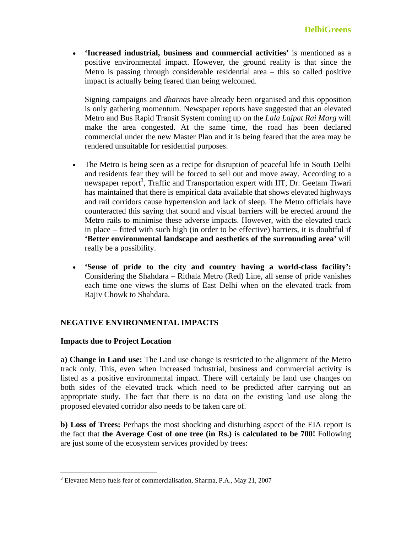**'Increased industrial, business and commercial activities'** is mentioned as a positive environmental impact. However, the ground reality is that since the Metro is passing through considerable residential area – this so called positive impact is actually being feared than being welcomed.

Signing campaigns and *dharnas* have already been organised and this opposition is only gathering momentum. Newspaper reports have suggested that an elevated Metro and Bus Rapid Transit System coming up on the *Lala Lajpat Rai Marg* will make the area congested. At the same time, the road has been declared commercial under the new Master Plan and it is being feared that the area may be rendered unsuitable for residential purposes.

- The Metro is being seen as a recipe for disruption of peaceful life in South Delhi and residents fear they will be forced to sell out and move away. According to a newspaper report<sup>3</sup>, Traffic and Transportation expert with IIT, Dr. Geetam Tiwari has maintained that there is empirical data available that shows elevated highways and rail corridors cause hypertension and lack of sleep. The Metro officials have counteracted this saying that sound and visual barriers will be erected around the Metro rails to minimise these adverse impacts. However, with the elevated track in place – fitted with such high (in order to be effective) barriers, it is doubtful if **'Better environmental landscape and aesthetics of the surrounding area'** will really be a possibility.
- **'Sense of pride to the city and country having a world-class facility':** Considering the Shahdara – Rithala Metro (Red) Line, all sense of pride vanishes each time one views the slums of East Delhi when on the elevated track from Rajiv Chowk to Shahdara.

# **NEGATIVE ENVIRONMENTAL IMPACTS**

# **Impacts due to Project Location**

 $\overline{a}$ 

**a) Change in Land use:** The Land use change is restricted to the alignment of the Metro track only. This, even when increased industrial, business and commercial activity is listed as a positive environmental impact. There will certainly be land use changes on both sides of the elevated track which need to be predicted after carrying out an appropriate study. The fact that there is no data on the existing land use along the proposed elevated corridor also needs to be taken care of.

**b) Loss of Trees:** Perhaps the most shocking and disturbing aspect of the EIA report is the fact that **the Average Cost of one tree (in Rs.) is calculated to be 700!** Following are just some of the ecosystem services provided by trees:

<sup>&</sup>lt;sup>3</sup> Elevated Metro fuels fear of commercialisation, Sharma, P.A., May 21, 2007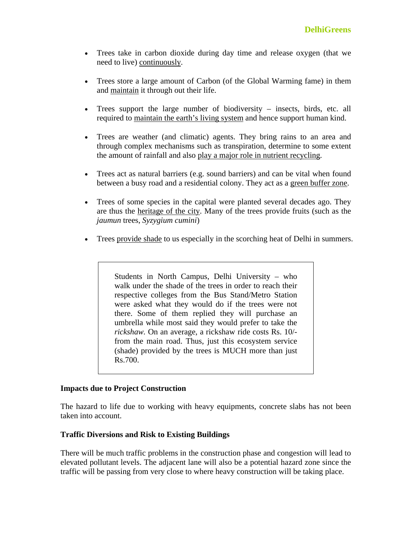- Trees take in carbon dioxide during day time and release oxygen (that we need to live) continuously.
- Trees store a large amount of Carbon (of the Global Warming fame) in them and maintain it through out their life.
- Trees support the large number of biodiversity insects, birds, etc. all required to maintain the earth's living system and hence support human kind.
- Trees are weather (and climatic) agents. They bring rains to an area and through complex mechanisms such as transpiration, determine to some extent the amount of rainfall and also play a major role in nutrient recycling.
- Trees act as natural barriers (e.g. sound barriers) and can be vital when found between a busy road and a residential colony. They act as a green buffer zone.
- Trees of some species in the capital were planted several decades ago. They are thus the heritage of the city. Many of the trees provide fruits (such as the *jaumun* trees, *Syzygium cumini*)
- Trees provide shade to us especially in the scorching heat of Delhi in summers.

Students in North Campus, Delhi University – who walk under the shade of the trees in order to reach their respective colleges from the Bus Stand/Metro Station were asked what they would do if the trees were not there. Some of them replied they will purchase an umbrella while most said they would prefer to take the *rickshaw.* On an average, a rickshaw ride costs Rs. 10/ from the main road. Thus, just this ecosystem service (shade) provided by the trees is MUCH more than just Rs.700.

# **Impacts due to Project Construction**

The hazard to life due to working with heavy equipments, concrete slabs has not been taken into account.

# **Traffic Diversions and Risk to Existing Buildings**

There will be much traffic problems in the construction phase and congestion will lead to elevated pollutant levels. The adjacent lane will also be a potential hazard zone since the traffic will be passing from very close to where heavy construction will be taking place.